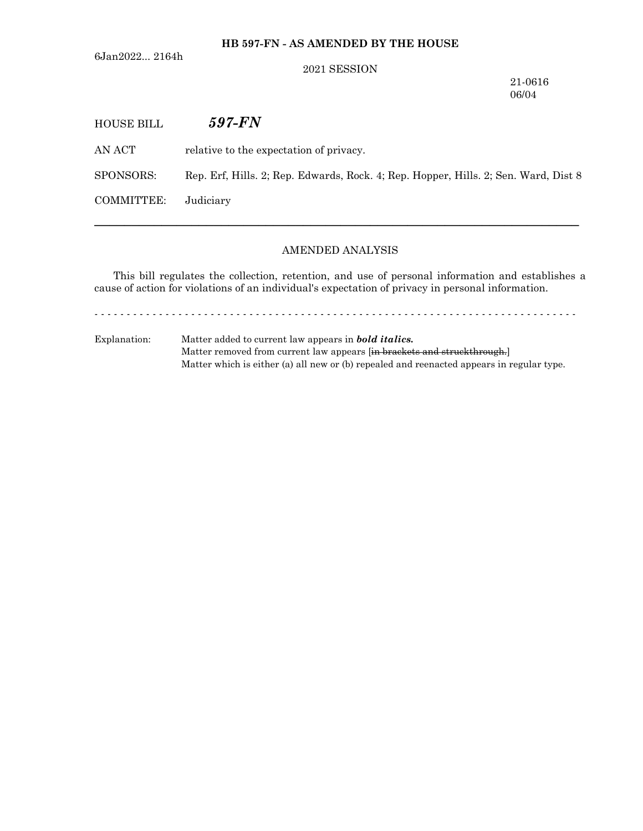**HB 597-FN - AS AMENDED BY THE HOUSE**

6Jan2022... 2164h

#### 2021 SESSION

21-0616

06/04 HOUSE BILL *597-FN* AN ACT relative to the expectation of privacy. SPONSORS: Rep. Erf, Hills. 2; Rep. Edwards, Rock. 4; Rep. Hopper, Hills. 2; Sen. Ward, Dist 8 COMMITTEE: Judiciary

## AMENDED ANALYSIS

─────────────────────────────────────────────────────────────────

This bill regulates the collection, retention, and use of personal information and establishes a cause of action for violations of an individual's expectation of privacy in personal information.

- - - - - - - - - - - - - - - - - - - - - - - - - - - - - - - - - - - - - - - - - - - - - - - - - - - - - - - - - - - - - - - - - - - - - - - - - - -

Explanation: Matter added to current law appears in *bold italics.* Matter removed from current law appears [in brackets and struckthrough.] Matter which is either (a) all new or (b) repealed and reenacted appears in regular type.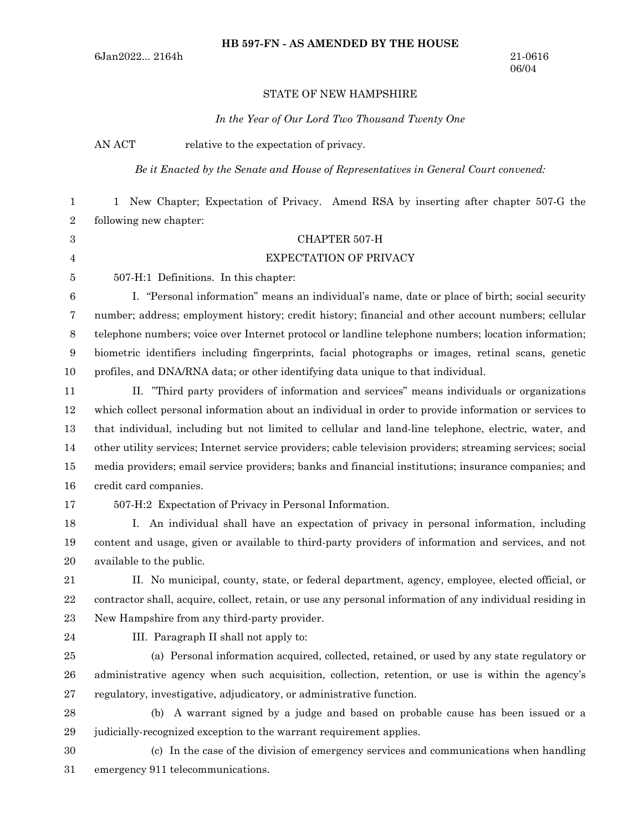#### STATE OF NEW HAMPSHIRE

*In the Year of Our Lord Two Thousand Twenty One*

AN ACT relative to the expectation of privacy.

*Be it Enacted by the Senate and House of Representatives in General Court convened:*

1 New Chapter; Expectation of Privacy. Amend RSA by inserting after chapter 507-G the following new chapter: 1 2

3 4

### CHAPTER 507-H

#### EXPECTATION OF PRIVACY

5

507-H:1 Definitions. In this chapter:

I. "Personal information" means an individual's name, date or place of birth; social security number; address; employment history; credit history; financial and other account numbers; cellular telephone numbers; voice over Internet protocol or landline telephone numbers; location information; biometric identifiers including fingerprints, facial photographs or images, retinal scans, genetic profiles, and DNA/RNA data; or other identifying data unique to that individual. 6 7 8 9 10

II. "Third party providers of information and services" means individuals or organizations which collect personal information about an individual in order to provide information or services to that individual, including but not limited to cellular and land-line telephone, electric, water, and other utility services; Internet service providers; cable television providers; streaming services; social media providers; email service providers; banks and financial institutions; insurance companies; and credit card companies. 11 12 13 14 15 16

17

507-H:2 Expectation of Privacy in Personal Information.

I. An individual shall have an expectation of privacy in personal information, including content and usage, given or available to third-party providers of information and services, and not available to the public. 18 19 20

II. No municipal, county, state, or federal department, agency, employee, elected official, or contractor shall, acquire, collect, retain, or use any personal information of any individual residing in New Hampshire from any third-party provider. 21 22 23

24

III. Paragraph II shall not apply to:

(a) Personal information acquired, collected, retained, or used by any state regulatory or administrative agency when such acquisition, collection, retention, or use is within the agency's regulatory, investigative, adjudicatory, or administrative function. 25 26 27

(b) A warrant signed by a judge and based on probable cause has been issued or a judicially-recognized exception to the warrant requirement applies. 28 29

30

(c) In the case of the division of emergency services and communications when handling emergency 911 telecommunications. 31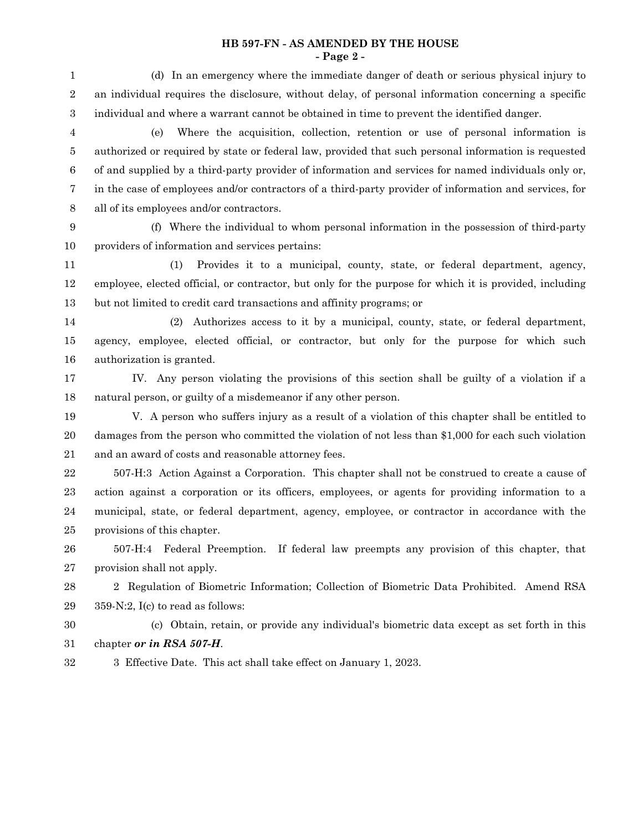#### **HB 597-FN - AS AMENDED BY THE HOUSE - Page 2 -**

(d) In an emergency where the immediate danger of death or serious physical injury to an individual requires the disclosure, without delay, of personal information concerning a specific individual and where a warrant cannot be obtained in time to prevent the identified danger. (e) Where the acquisition, collection, retention or use of personal information is authorized or required by state or federal law, provided that such personal information is requested of and supplied by a third-party provider of information and services for named individuals only or, in the case of employees and/or contractors of a third-party provider of information and services, for all of its employees and/or contractors. (f) Where the individual to whom personal information in the possession of third-party providers of information and services pertains: (1) Provides it to a municipal, county, state, or federal department, agency, employee, elected official, or contractor, but only for the purpose for which it is provided, including but not limited to credit card transactions and affinity programs; or (2) Authorizes access to it by a municipal, county, state, or federal department, agency, employee, elected official, or contractor, but only for the purpose for which such authorization is granted. IV. Any person violating the provisions of this section shall be guilty of a violation if a natural person, or guilty of a misdemeanor if any other person. V. A person who suffers injury as a result of a violation of this chapter shall be entitled to damages from the person who committed the violation of not less than \$1,000 for each such violation and an award of costs and reasonable attorney fees. 507-H:3 Action Against a Corporation. This chapter shall not be construed to create a cause of action against a corporation or its officers, employees, or agents for providing information to a municipal, state, or federal department, agency, employee, or contractor in accordance with the provisions of this chapter. 507-H:4 Federal Preemption. If federal law preempts any provision of this chapter, that provision shall not apply. 2 Regulation of Biometric Information; Collection of Biometric Data Prohibited. Amend RSA 359-N:2, I(c) to read as follows: (c) Obtain, retain, or provide any individual's biometric data except as set forth in this chapter *or in RSA 507-H*. 1 2 3 4 5 6 7 8 9 10 11 12 13 14 15 16 17 18 19 20 21 22 23 24 25 26 27 28 29 30 31

3 Effective Date. This act shall take effect on January 1, 2023. 32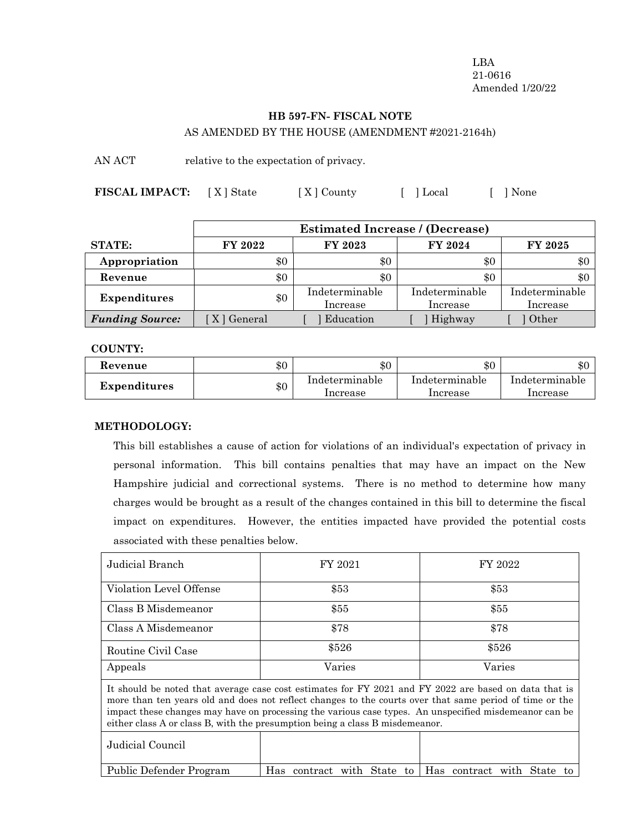LBA 21-0616 Amended 1/20/22

# **HB 597-FN- FISCAL NOTE** AS AMENDED BY THE HOUSE (AMENDMENT #2021-2164h)

AN ACT relative to the expectation of privacy.

**FISCAL IMPACT:** [X] State [X] County [ ] Local [ ] None

|                        | <b>Estimated Increase / (Decrease)</b> |                            |                            |                            |
|------------------------|----------------------------------------|----------------------------|----------------------------|----------------------------|
| <b>STATE:</b>          | FY 2022                                | FY 2023                    | FY 2024                    | FY 2025                    |
| Appropriation          | \$0                                    | \$0                        | \$0                        | $\$0$                      |
| Revenue                | \$0                                    | \$0                        | \$0                        | $\$0$                      |
| <b>Expenditures</b>    | \$0                                    | Indeterminable<br>Increase | Indeterminable<br>Increase | Indeterminable<br>Increase |
| <b>Funding Source:</b> | X   General                            | Education                  | Highway                    | Other                      |

### **COUNTY:**

| Revenue             | $\$0$ | \$0                        | $\$0$                      | ሱስ<br>কা.                  |
|---------------------|-------|----------------------------|----------------------------|----------------------------|
| <b>Expenditures</b> | \$0   | Indeterminable<br>Increase | Indeterminable<br>Increase | Indeterminable<br>Increase |

# **METHODOLOGY:**

This bill establishes a cause of action for violations of an individual's expectation of privacy in personal information. This bill contains penalties that may have an impact on the New Hampshire judicial and correctional systems. There is no method to determine how many charges would be brought as a result of the changes contained in this bill to determine the fiscal impact on expenditures. However, the entities impacted have provided the potential costs associated with these penalties below.

| Judicial Branch                                                                                                                                                                                                                                                                                                                                                                                           | FY 2021                          | FY 2022                         |  |  |
|-----------------------------------------------------------------------------------------------------------------------------------------------------------------------------------------------------------------------------------------------------------------------------------------------------------------------------------------------------------------------------------------------------------|----------------------------------|---------------------------------|--|--|
| Violation Level Offense                                                                                                                                                                                                                                                                                                                                                                                   | \$53                             | \$53                            |  |  |
| Class B Misdemeanor                                                                                                                                                                                                                                                                                                                                                                                       | \$55                             | \$55                            |  |  |
| Class A Misdemeanor                                                                                                                                                                                                                                                                                                                                                                                       | \$78                             | \$78                            |  |  |
| Routine Civil Case                                                                                                                                                                                                                                                                                                                                                                                        | \$526                            | \$526                           |  |  |
| Appeals                                                                                                                                                                                                                                                                                                                                                                                                   | Varies                           | Varies                          |  |  |
| It should be noted that average case cost estimates for FY 2021 and FY 2022 are based on data that is<br>more than ten years old and does not reflect changes to the courts over that same period of time or the<br>impact these changes may have on processing the various case types. An unspecified misdemeanor can be<br>either class A or class B, with the presumption being a class B misdemeanor. |                                  |                                 |  |  |
| Judicial Council                                                                                                                                                                                                                                                                                                                                                                                          |                                  |                                 |  |  |
| Public Defender Program                                                                                                                                                                                                                                                                                                                                                                                   | with State<br>Has contract<br>to | Has contract with State<br>- to |  |  |